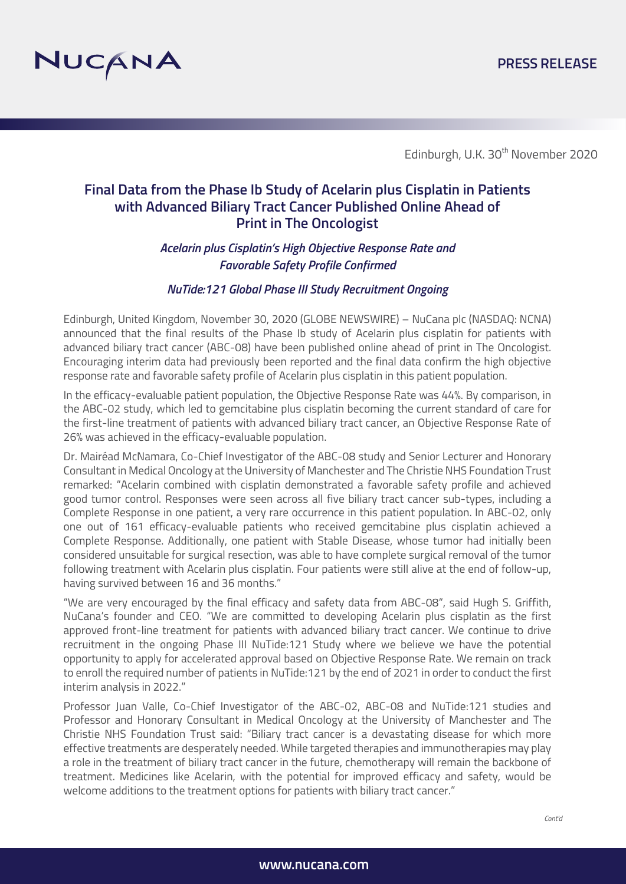

Edinburgh, U.K. 30<sup>th</sup> November 2020

# **Final Data from the Phase Ib Study of Acelarin plus Cisplatin in Patients with Advanced Biliary Tract Cancer Published Online Ahead of Print in The Oncologist**

# *Acelarin plus Cisplatin's High Objective Response Rate and Favorable Safety Profile Confirmed*

### *NuTide:121 Global Phase III Study Recruitment Ongoing*

Edinburgh, United Kingdom, November 30, 2020 (GLOBE NEWSWIRE) – NuCana plc (NASDAQ: NCNA) announced that the final results of the Phase Ib study of Acelarin plus cisplatin for patients with advanced biliary tract cancer (ABC-08) have been published online ahead of print in The Oncologist. Encouraging interim data had previously been reported and the final data confirm the high objective response rate and favorable safety profile of Acelarin plus cisplatin in this patient population.

In the efficacy-evaluable patient population, the Objective Response Rate was 44%. By comparison, in the ABC-02 study, which led to gemcitabine plus cisplatin becoming the current standard of care for the first-line treatment of patients with advanced biliary tract cancer, an Objective Response Rate of 26% was achieved in the efficacy-evaluable population.

Dr. Mairéad McNamara, Co-Chief Investigator of the ABC-08 study and Senior Lecturer and Honorary Consultant in Medical Oncology at the University of Manchester and The Christie NHS Foundation Trust remarked: "Acelarin combined with cisplatin demonstrated a favorable safety profile and achieved good tumor control. Responses were seen across all five biliary tract cancer sub-types, including a Complete Response in one patient, a very rare occurrence in this patient population. In ABC-02, only one out of 161 efficacy-evaluable patients who received gemcitabine plus cisplatin achieved a Complete Response. Additionally, one patient with Stable Disease, whose tumor had initially been considered unsuitable for surgical resection, was able to have complete surgical removal of the tumor following treatment with Acelarin plus cisplatin. Four patients were still alive at the end of follow-up, having survived between 16 and 36 months."

"We are very encouraged by the final efficacy and safety data from ABC-08", said Hugh S. Griffith, NuCana's founder and CEO. "We are committed to developing Acelarin plus cisplatin as the first approved front-line treatment for patients with advanced biliary tract cancer. We continue to drive recruitment in the ongoing Phase III NuTide:121 Study where we believe we have the potential opportunity to apply for accelerated approval based on Objective Response Rate. We remain on track to enroll the required number of patients in NuTide:121 by the end of 2021 in order to conduct the first interim analysis in 2022."

Professor Juan Valle, Co-Chief Investigator of the ABC-02, ABC-08 and NuTide:121 studies and Professor and Honorary Consultant in Medical Oncology at the University of Manchester and The Christie NHS Foundation Trust said: "Biliary tract cancer is a devastating disease for which more effective treatments are desperately needed. While targeted therapies and immunotherapies may play a role in the treatment of biliary tract cancer in the future, chemotherapy will remain the backbone of treatment. Medicines like Acelarin, with the potential for improved efficacy and safety, would be welcome additions to the treatment options for patients with biliary tract cancer."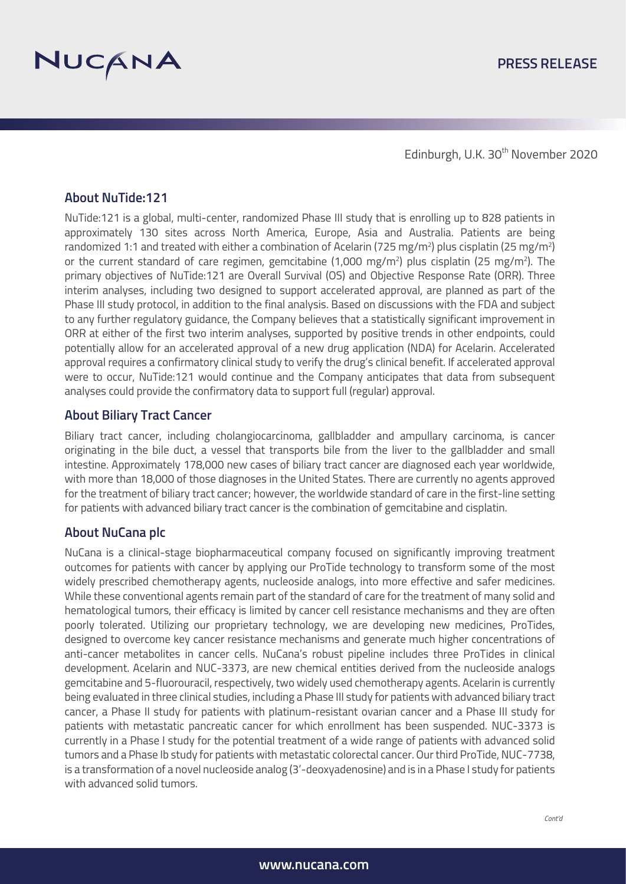

Edinburgh, U.K. 30<sup>th</sup> November 2020

# **About NuTide:121**

NuTide:121 is a global, multi-center, randomized Phase III study that is enrolling up to 828 patients in approximately 130 sites across North America, Europe, Asia and Australia. Patients are being randomized 1:1 and treated with either a combination of Acelarin (725 mg/m²) plus cisplatin (25 mg/m²) or the current standard of care regimen, gemcitabine (1,000 mg/m<sup>2</sup>) plus cisplatin (25 mg/m<sup>2</sup>). The primary objectives of NuTide:121 are Overall Survival (OS) and Objective Response Rate (ORR). Three interim analyses, including two designed to support accelerated approval, are planned as part of the Phase III study protocol, in addition to the final analysis. Based on discussions with the FDA and subject to any further regulatory guidance, the Company believes that a statistically significant improvement in ORR at either of the first two interim analyses, supported by positive trends in other endpoints, could potentially allow for an accelerated approval of a new drug application (NDA) for Acelarin. Accelerated approval requires a confirmatory clinical study to verify the drug's clinical benefit. If accelerated approval were to occur, NuTide:121 would continue and the Company anticipates that data from subsequent analyses could provide the confirmatory data to support full (regular) approval.

## **About Biliary Tract Cancer**

Biliary tract cancer, including cholangiocarcinoma, gallbladder and ampullary carcinoma, is cancer originating in the bile duct, a vessel that transports bile from the liver to the gallbladder and small intestine. Approximately 178,000 new cases of biliary tract cancer are diagnosed each year worldwide, with more than 18,000 of those diagnoses in the United States. There are currently no agents approved for the treatment of biliary tract cancer; however, the worldwide standard of care in the first-line setting for patients with advanced biliary tract cancer is the combination of gemcitabine and cisplatin.

## **About NuCana plc**

NuCana is a clinical-stage biopharmaceutical company focused on significantly improving treatment outcomes for patients with cancer by applying our ProTide technology to transform some of the most widely prescribed chemotherapy agents, nucleoside analogs, into more effective and safer medicines. While these conventional agents remain part of the standard of care for the treatment of many solid and hematological tumors, their efficacy is limited by cancer cell resistance mechanisms and they are often poorly tolerated. Utilizing our proprietary technology, we are developing new medicines, ProTides, designed to overcome key cancer resistance mechanisms and generate much higher concentrations of anti-cancer metabolites in cancer cells. NuCana's robust pipeline includes three ProTides in clinical development. Acelarin and NUC-3373, are new chemical entities derived from the nucleoside analogs gemcitabine and 5-fluorouracil, respectively, two widely used chemotherapy agents. Acelarin is currently being evaluated in three clinical studies, including a Phase III study for patients with advanced biliary tract cancer, a Phase II study for patients with platinum-resistant ovarian cancer and a Phase III study for patients with metastatic pancreatic cancer for which enrollment has been suspended. NUC-3373 is currently in a Phase I study for the potential treatment of a wide range of patients with advanced solid tumors and a Phase Ib study for patients with metastatic colorectal cancer. Our third ProTide, NUC-7738, is a transformation of a novel nucleoside analog (3'-deoxyadenosine) and is in a Phase I study for patients with advanced solid tumors.